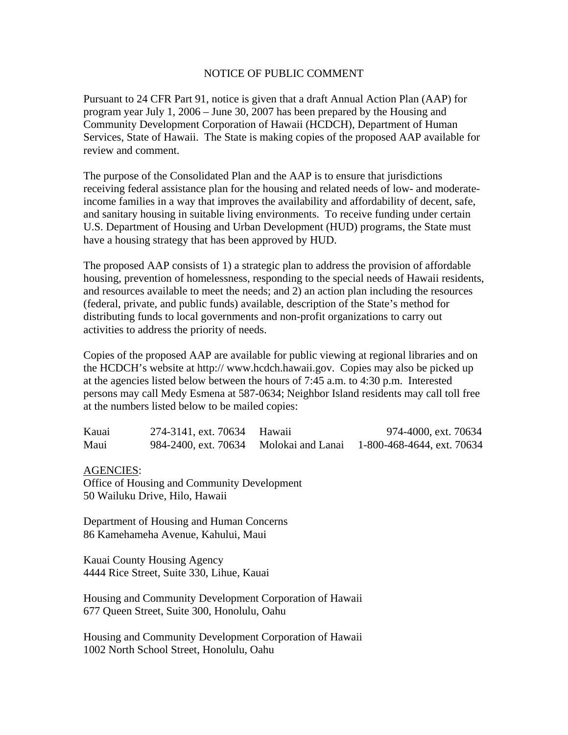## NOTICE OF PUBLIC COMMENT

Pursuant to 24 CFR Part 91, notice is given that a draft Annual Action Plan (AAP) for program year July 1, 2006 – June 30, 2007 has been prepared by the Housing and Community Development Corporation of Hawaii (HCDCH), Department of Human Services, State of Hawaii. The State is making copies of the proposed AAP available for review and comment.

The purpose of the Consolidated Plan and the AAP is to ensure that jurisdictions receiving federal assistance plan for the housing and related needs of low- and moderateincome families in a way that improves the availability and affordability of decent, safe, and sanitary housing in suitable living environments. To receive funding under certain U.S. Department of Housing and Urban Development (HUD) programs, the State must have a housing strategy that has been approved by HUD.

The proposed AAP consists of 1) a strategic plan to address the provision of affordable housing, prevention of homelessness, responding to the special needs of Hawaii residents, and resources available to meet the needs; and 2) an action plan including the resources (federal, private, and public funds) available, description of the State's method for distributing funds to local governments and non-profit organizations to carry out activities to address the priority of needs.

Copies of the proposed AAP are available for public viewing at regional libraries and on the HCDCH's website at http:// www.hcdch.hawaii.gov. Copies may also be picked up at the agencies listed below between the hours of 7:45 a.m. to 4:30 p.m. Interested persons may call Medy Esmena at 587-0634; Neighbor Island residents may call toll free at the numbers listed below to be mailed copies:

| Kauai | 274-3141, ext. 70634 Hawaii            | 974-4000, ext. 70634       |
|-------|----------------------------------------|----------------------------|
| Maui  | 984-2400, ext. 70634 Molokai and Lanai | 1-800-468-4644, ext. 70634 |

AGENCIES:

Office of Housing and Community Development 50 Wailuku Drive, Hilo, Hawaii

Department of Housing and Human Concerns 86 Kamehameha Avenue, Kahului, Maui

Kauai County Housing Agency 4444 Rice Street, Suite 330, Lihue, Kauai

Housing and Community Development Corporation of Hawaii 677 Queen Street, Suite 300, Honolulu, Oahu

Housing and Community Development Corporation of Hawaii 1002 North School Street, Honolulu, Oahu